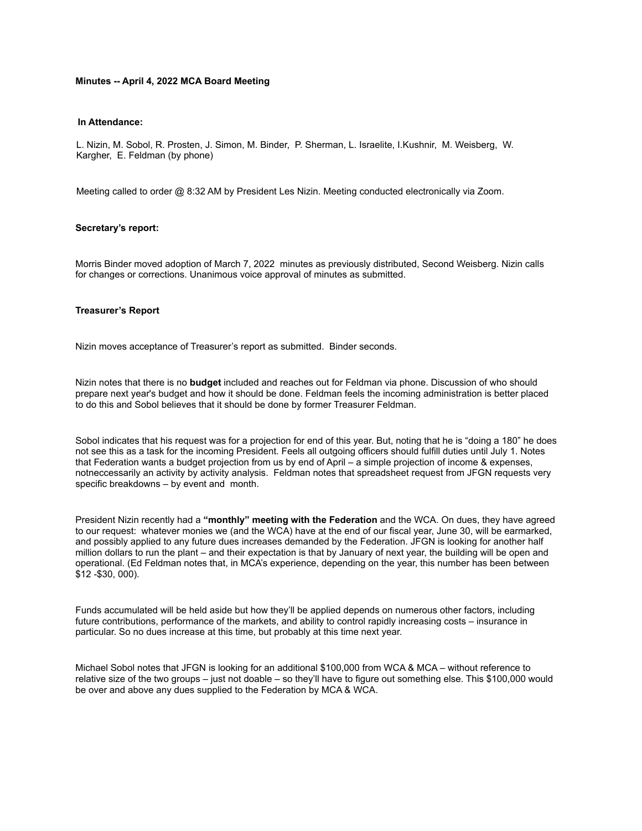#### **Minutes -- April 4, 2022 MCA Board Meeting**

### **In Attendance:**

L. Nizin, M. Sobol, R. Prosten, J. Simon, M. Binder, P. Sherman, L. Israelite, I.Kushnir, M. Weisberg, W. Kargher, E. Feldman (by phone)

Meeting called to order @ 8:32 AM by President Les Nizin. Meeting conducted electronically via Zoom.

#### **Secretary's report:**

Morris Binder moved adoption of March 7, 2022 minutes as previously distributed, Second Weisberg. Nizin calls for changes or corrections. Unanimous voice approval of minutes as submitted.

#### **Treasurer's Report**

Nizin moves acceptance of Treasurer's report as submitted. Binder seconds.

Nizin notes that there is no **budget** included and reaches out for Feldman via phone. Discussion of who should prepare next year's budget and how it should be done. Feldman feels the incoming administration is better placed to do this and Sobol believes that it should be done by former Treasurer Feldman.

Sobol indicates that his request was for a projection for end of this year. But, noting that he is "doing a 180" he does not see this as a task for the incoming President. Feels all outgoing officers should fulfill duties until July 1. Notes that Federation wants a budget projection from us by end of April – a simple projection of income & expenses, notneccessarily an activity by activity analysis. Feldman notes that spreadsheet request from JFGN requests very specific breakdowns – by event and month.

President Nizin recently had a **"monthly" meeting with the Federation** and the WCA. On dues, they have agreed to our request: whatever monies we (and the WCA) have at the end of our fiscal year, June 30, will be earmarked, and possibly applied to any future dues increases demanded by the Federation. JFGN is looking for another half million dollars to run the plant – and their expectation is that by January of next year, the building will be open and operational. (Ed Feldman notes that, in MCA's experience, depending on the year, this number has been between \$12 -\$30, 000).

Funds accumulated will be held aside but how they'll be applied depends on numerous other factors, including future contributions, performance of the markets, and ability to control rapidly increasing costs – insurance in particular. So no dues increase at this time, but probably at this time next year.

Michael Sobol notes that JFGN is looking for an additional \$100,000 from WCA & MCA – without reference to relative size of the two groups – just not doable – so they'll have to figure out something else. This \$100,000 would be over and above any dues supplied to the Federation by MCA & WCA.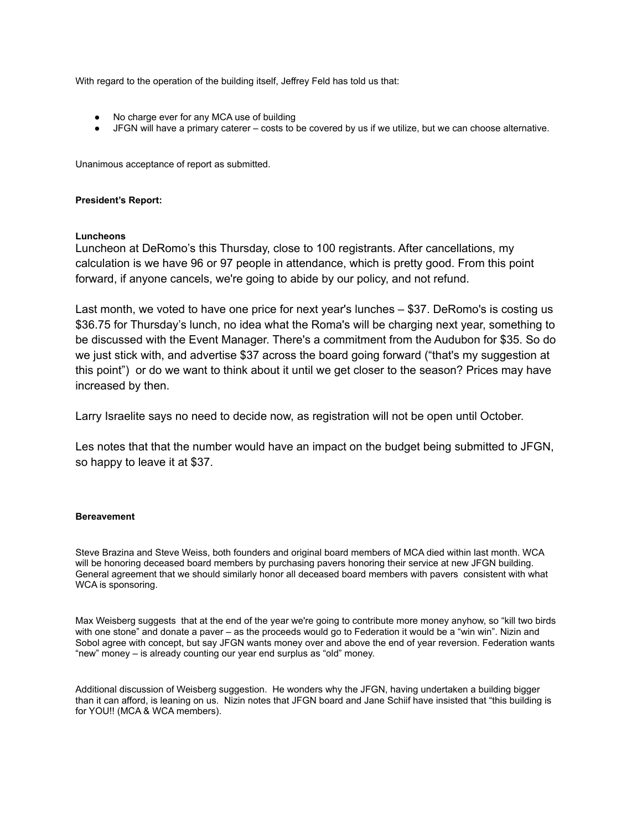With regard to the operation of the building itself, Jeffrey Feld has told us that:

- No charge ever for any MCA use of building
- JFGN will have a primary caterer costs to be covered by us if we utilize, but we can choose alternative.

Unanimous acceptance of report as submitted.

# **President's Report:**

# **Luncheons**

Luncheon at DeRomo's this Thursday, close to 100 registrants. After cancellations, my calculation is we have 96 or 97 people in attendance, which is pretty good. From this point forward, if anyone cancels, we're going to abide by our policy, and not refund.

Last month, we voted to have one price for next year's lunches – \$37. DeRomo's is costing us \$36.75 for Thursday's lunch, no idea what the Roma's will be charging next year, something to be discussed with the Event Manager. There's a commitment from the Audubon for \$35. So do we just stick with, and advertise \$37 across the board going forward ("that's my suggestion at this point") or do we want to think about it until we get closer to the season? Prices may have increased by then.

Larry Israelite says no need to decide now, as registration will not be open until October.

Les notes that that the number would have an impact on the budget being submitted to JFGN, so happy to leave it at \$37.

## **Bereavement**

Steve Brazina and Steve Weiss, both founders and original board members of MCA died within last month. WCA will be honoring deceased board members by purchasing pavers honoring their service at new JFGN building. General agreement that we should similarly honor all deceased board members with pavers consistent with what WCA is sponsoring.

Max Weisberg suggests that at the end of the year we're going to contribute more money anyhow, so "kill two birds with one stone" and donate a paver – as the proceeds would go to Federation it would be a "win win". Nizin and Sobol agree with concept, but say JFGN wants money over and above the end of year reversion. Federation wants "new" money – is already counting our year end surplus as "old" money.

Additional discussion of Weisberg suggestion. He wonders why the JFGN, having undertaken a building bigger than it can afford, is leaning on us. Nizin notes that JFGN board and Jane Schiif have insisted that "this building is for YOU!! (MCA & WCA members).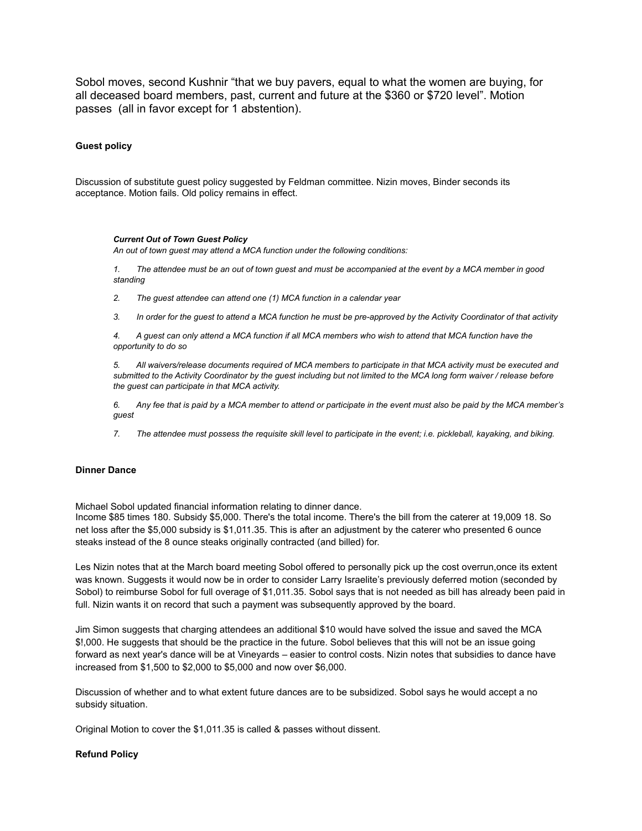Sobol moves, second Kushnir "that we buy pavers, equal to what the women are buying, for all deceased board members, past, current and future at the \$360 or \$720 level". Motion passes (all in favor except for 1 abstention).

#### **Guest policy**

Discussion of substitute guest policy suggested by Feldman committee. Nizin moves, Binder seconds its acceptance. Motion fails. Old policy remains in effect.

#### *Current Out of Town Guest Policy*

*An out of town guest may attend a MCA function under the following conditions:*

1. The attendee must be an out of town guest and must be accompanied at the event by a MCA member in good *standing*

*2. The guest attendee can attend one (1) MCA function in a calendar year*

3. In order for the guest to attend a MCA function he must be pre-approved by the Activity Coordinator of that activity

4. A guest can only attend a MCA function if all MCA members who wish to attend that MCA function have the *opportunity to do so*

5. All waivers/release documents required of MCA members to participate in that MCA activity must be executed and submitted to the Activity Coordinator by the guest including but not limited to the MCA long form waiver / release before *the guest can participate in that MCA activity.*

6. Any fee that is paid by a MCA member to attend or participate in the event must also be paid by the MCA member's *guest*

7. The attendee must possess the requisite skill level to participate in the event; i.e. pickleball, kayaking, and biking.

#### **Dinner Dance**

Michael Sobol updated financial information relating to dinner dance.

Income \$85 times 180. Subsidy \$5,000. There's the total income. There's the bill from the caterer at 19,009 18. So net loss after the \$5,000 subsidy is \$1,011.35. This is after an adjustment by the caterer who presented 6 ounce steaks instead of the 8 ounce steaks originally contracted (and billed) for.

Les Nizin notes that at the March board meeting Sobol offered to personally pick up the cost overrun,once its extent was known. Suggests it would now be in order to consider Larry Israelite's previously deferred motion (seconded by Sobol) to reimburse Sobol for full overage of \$1,011.35. Sobol says that is not needed as bill has already been paid in full. Nizin wants it on record that such a payment was subsequently approved by the board.

Jim Simon suggests that charging attendees an additional \$10 would have solved the issue and saved the MCA \$!,000. He suggests that should be the practice in the future. Sobol believes that this will not be an issue going forward as next year's dance will be at Vineyards – easier to control costs. Nizin notes that subsidies to dance have increased from \$1,500 to \$2,000 to \$5,000 and now over \$6,000.

Discussion of whether and to what extent future dances are to be subsidized. Sobol says he would accept a no subsidy situation.

Original Motion to cover the \$1,011.35 is called & passes without dissent.

## **Refund Policy**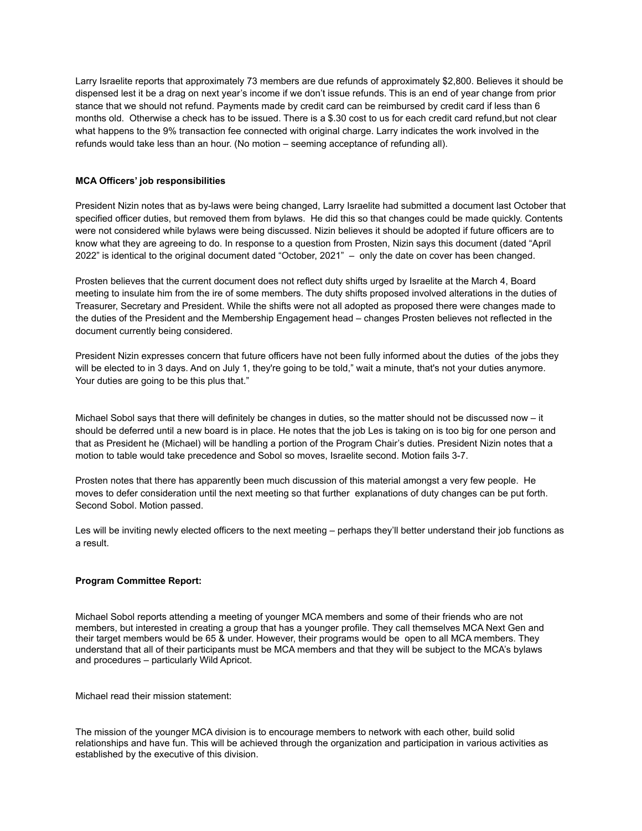Larry Israelite reports that approximately 73 members are due refunds of approximately \$2,800. Believes it should be dispensed lest it be a drag on next year's income if we don't issue refunds. This is an end of year change from prior stance that we should not refund. Payments made by credit card can be reimbursed by credit card if less than 6 months old. Otherwise a check has to be issued. There is a \$.30 cost to us for each credit card refund,but not clear what happens to the 9% transaction fee connected with original charge. Larry indicates the work involved in the refunds would take less than an hour. (No motion – seeming acceptance of refunding all).

# **MCA Officers' job responsibilities**

President Nizin notes that as by-laws were being changed, Larry Israelite had submitted a document last October that specified officer duties, but removed them from bylaws. He did this so that changes could be made quickly. Contents were not considered while bylaws were being discussed. Nizin believes it should be adopted if future officers are to know what they are agreeing to do. In response to a question from Prosten, Nizin says this document (dated "April 2022" is identical to the original document dated "October, 2021" – only the date on cover has been changed.

Prosten believes that the current document does not reflect duty shifts urged by Israelite at the March 4, Board meeting to insulate him from the ire of some members. The duty shifts proposed involved alterations in the duties of Treasurer, Secretary and President. While the shifts were not all adopted as proposed there were changes made to the duties of the President and the Membership Engagement head – changes Prosten believes not reflected in the document currently being considered.

President Nizin expresses concern that future officers have not been fully informed about the duties of the jobs they will be elected to in 3 days. And on July 1, they're going to be told," wait a minute, that's not your duties anymore. Your duties are going to be this plus that."

Michael Sobol says that there will definitely be changes in duties, so the matter should not be discussed now – it should be deferred until a new board is in place. He notes that the job Les is taking on is too big for one person and that as President he (Michael) will be handling a portion of the Program Chair's duties. President Nizin notes that a motion to table would take precedence and Sobol so moves, Israelite second. Motion fails 3-7.

Prosten notes that there has apparently been much discussion of this material amongst a very few people. He moves to defer consideration until the next meeting so that further explanations of duty changes can be put forth. Second Sobol. Motion passed.

Les will be inviting newly elected officers to the next meeting – perhaps they'll better understand their job functions as a result.

## **Program Committee Report:**

Michael Sobol reports attending a meeting of younger MCA members and some of their friends who are not members, but interested in creating a group that has a younger profile. They call themselves MCA Next Gen and their target members would be 65 & under. However, their programs would be open to all MCA members. They understand that all of their participants must be MCA members and that they will be subject to the MCA's bylaws and procedures – particularly Wild Apricot.

Michael read their mission statement:

The mission of the younger MCA division is to encourage members to network with each other, build solid relationships and have fun. This will be achieved through the organization and participation in various activities as established by the executive of this division.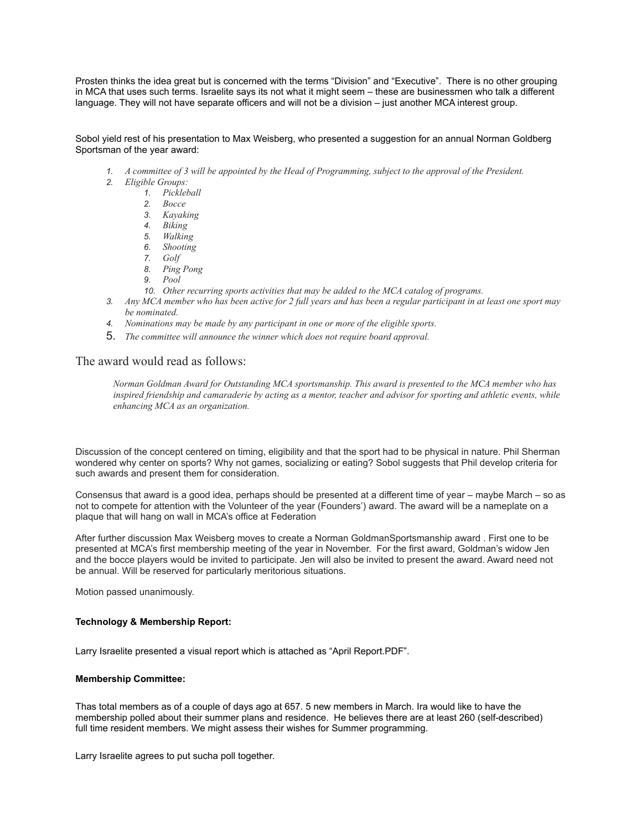Prosten thinks the idea great but is concerned with the terms "Division" and "Executive". There is no other grouping in MCA that uses such terms. Israelite says its not what it might seem – these are businessmen who talk a different language. They will not have separate officers and will not be a division – just another MCA interest group.

# Sobol yield rest of his presentation to Max Weisberg, who presented a suggestion for an annual Norman Goldberg Sportsman of the year award:

- *1. A committee of 3 will be appointed by the Head of Programming, subject to the approval of the President.*
- *2. Eligible Groups:*
	- *1. Pickleball*
	- *2. Bocce*
	- *3. Kayaking*
	- *4. Biking*
	- *5. Walking*
	- *6. Shooting*
	- *7. Golf*
	- *8. Ping Pong*
	- *9. Pool*
	- *10. Other recurring sports activities that may be added to the MCA catalog of programs.*
- *3. Any MCA member who has been active for 2 full years and has been a regular participant in at least one sport may be nominated.*
- *4. Nominations may be made by any participant in one or more of the eligible sports.*
- 5. *The committee will announce the winner which does not require board approval.*

# The award would read as follows:

*Norman Goldman Award for Outstanding MCA sportsmanship. This award is presented to the MCA member who has inspired friendship and camaraderie by acting as a mentor, teacher and advisor for sporting and athletic events, while enhancing MCA as an organization.*

Discussion of the concept centered on timing, eligibility and that the sport had to be physical in nature. Phil Sherman wondered why center on sports? Why not games, socializing or eating? Sobol suggests that Phil develop criteria for such awards and present them for consideration.

Consensus that award is a good idea, perhaps should be presented at a different time of year – maybe March – so as not to compete for attention with the Volunteer of the year (Founders') award. The award will be a nameplate on a plaque that will hang on wall in MCA's office at Federation

After further discussion Max Weisberg moves to create a Norman GoldmanSportsmanship award . First one to be presented at MCA's first membership meeting of the year in November. For the first award, Goldman's widow Jen and the bocce players would be invited to participate. Jen will also be invited to present the award. Award need not be annual. Will be reserved for particularly meritorious situations.

Motion passed unanimously.

## **Technology & Membership Report:**

Larry Israelite presented a visual report which is attached as "April Report.PDF".

#### **Membership Committee:**

Thas total members as of a couple of days ago at 657. 5 new members in March. Ira would like to have the membership polled about their summer plans and residence. He believes there are at least 260 (self-described) full time resident members. We might assess their wishes for Summer programming.

Larry Israelite agrees to put sucha poll together.